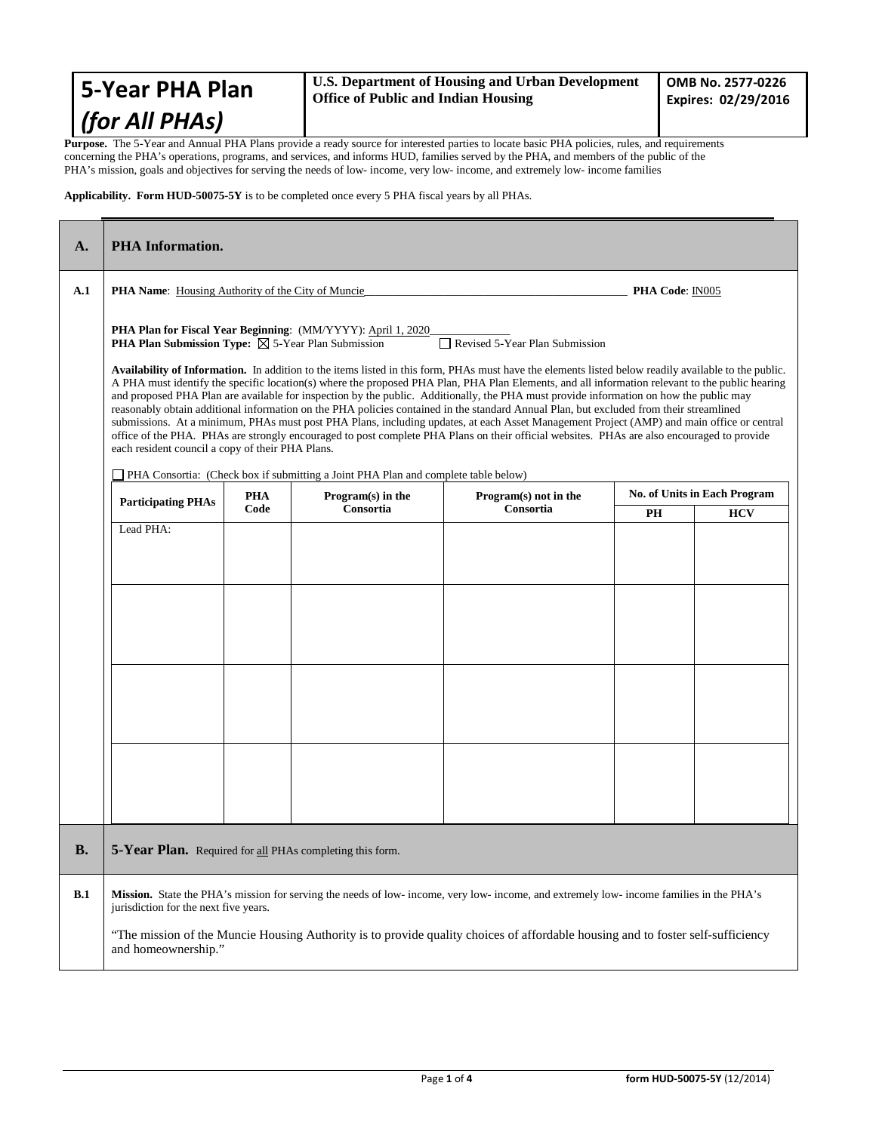| <b>S-Year PHA Plan</b> | <b>U.S. Department of Housing and Urban Development</b><br><b>Office of Public and Indian Housing</b> | OMB No. 2577-0226<br>Expires: 02/29/2016 |  |
|------------------------|-------------------------------------------------------------------------------------------------------|------------------------------------------|--|
| $ $ (for All PHAs)     |                                                                                                       |                                          |  |

**Purpose.** The 5-Year and Annual PHA Plans provide a ready source for interested parties to locate basic PHA policies, rules, and requirements concerning the PHA's operations, programs, and services, and informs HUD, families served by the PHA, and members of the public of the PHA's mission, goals and objectives for serving the needs of low- income, very low- income, and extremely low- income families

## **Applicability. Form HUD-50075-5Y** is to be completed once every 5 PHA fiscal years by all PHAs.

| A.  | <b>PHA</b> Information.                                                                                                                                                                                                                                                                                                                                                                                                                                                                                                                                                                                                                                                                                                                                                                                                                                                                                                                     |                                                                                                                                                                                     |                                                                                           |                                    |    |                                                   |  |  |
|-----|---------------------------------------------------------------------------------------------------------------------------------------------------------------------------------------------------------------------------------------------------------------------------------------------------------------------------------------------------------------------------------------------------------------------------------------------------------------------------------------------------------------------------------------------------------------------------------------------------------------------------------------------------------------------------------------------------------------------------------------------------------------------------------------------------------------------------------------------------------------------------------------------------------------------------------------------|-------------------------------------------------------------------------------------------------------------------------------------------------------------------------------------|-------------------------------------------------------------------------------------------|------------------------------------|----|---------------------------------------------------|--|--|
| A.1 |                                                                                                                                                                                                                                                                                                                                                                                                                                                                                                                                                                                                                                                                                                                                                                                                                                                                                                                                             | <b>PHA Name:</b> Housing Authority of the City of Muncie<br>PHA Code: IN005                                                                                                         |                                                                                           |                                    |    |                                                   |  |  |
|     |                                                                                                                                                                                                                                                                                                                                                                                                                                                                                                                                                                                                                                                                                                                                                                                                                                                                                                                                             | <b>PHA Plan for Fiscal Year Beginning:</b> (MM/YYYY): April 1, 2020<br><b>PHA Plan Submission Type:</b> $\boxtimes$ 5-Year Plan Submission<br>$\Box$ Revised 5-Year Plan Submission |                                                                                           |                                    |    |                                                   |  |  |
|     | Availability of Information. In addition to the items listed in this form, PHAs must have the elements listed below readily available to the public.<br>A PHA must identify the specific location(s) where the proposed PHA Plan, PHA Plan Elements, and all information relevant to the public hearing<br>and proposed PHA Plan are available for inspection by the public. Additionally, the PHA must provide information on how the public may<br>reasonably obtain additional information on the PHA policies contained in the standard Annual Plan, but excluded from their streamlined<br>submissions. At a minimum, PHAs must post PHA Plans, including updates, at each Asset Management Project (AMP) and main office or central<br>office of the PHA. PHAs are strongly encouraged to post complete PHA Plans on their official websites. PHAs are also encouraged to provide<br>each resident council a copy of their PHA Plans. |                                                                                                                                                                                     |                                                                                           |                                    |    |                                                   |  |  |
|     |                                                                                                                                                                                                                                                                                                                                                                                                                                                                                                                                                                                                                                                                                                                                                                                                                                                                                                                                             |                                                                                                                                                                                     | <b>PHA</b> Consortia: (Check box if submitting a Joint PHA Plan and complete table below) |                                    |    |                                                   |  |  |
|     | <b>Participating PHAs</b>                                                                                                                                                                                                                                                                                                                                                                                                                                                                                                                                                                                                                                                                                                                                                                                                                                                                                                                   | PHA<br>Code                                                                                                                                                                         | Program $(s)$ in the<br>Consortia                                                         | Program(s) not in the<br>Consortia | PН | <b>No. of Units in Each Program</b><br><b>HCV</b> |  |  |
|     | Lead PHA:                                                                                                                                                                                                                                                                                                                                                                                                                                                                                                                                                                                                                                                                                                                                                                                                                                                                                                                                   |                                                                                                                                                                                     |                                                                                           |                                    |    |                                                   |  |  |
| В.  | <b>5-Year Plan.</b> Required for all PHAs completing this form.                                                                                                                                                                                                                                                                                                                                                                                                                                                                                                                                                                                                                                                                                                                                                                                                                                                                             |                                                                                                                                                                                     |                                                                                           |                                    |    |                                                   |  |  |
| B.1 | Mission. State the PHA's mission for serving the needs of low- income, very low- income, and extremely low- income families in the PHA's<br>jurisdiction for the next five years.                                                                                                                                                                                                                                                                                                                                                                                                                                                                                                                                                                                                                                                                                                                                                           |                                                                                                                                                                                     |                                                                                           |                                    |    |                                                   |  |  |
|     | "The mission of the Muncie Housing Authority is to provide quality choices of affordable housing and to foster self-sufficiency<br>and homeownership."                                                                                                                                                                                                                                                                                                                                                                                                                                                                                                                                                                                                                                                                                                                                                                                      |                                                                                                                                                                                     |                                                                                           |                                    |    |                                                   |  |  |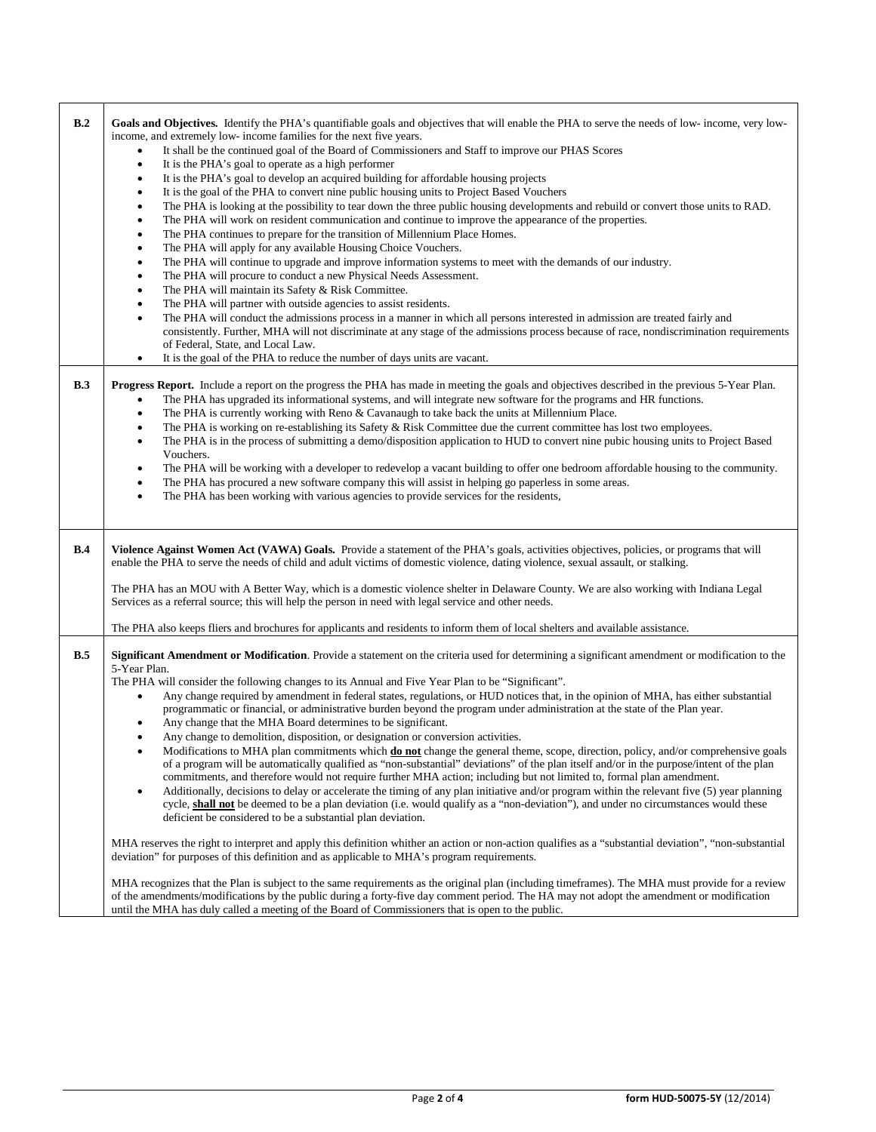| B.2        | Goals and Objectives. Identify the PHA's quantifiable goals and objectives that will enable the PHA to serve the needs of low-income, very low-<br>income, and extremely low- income families for the next five years.<br>It shall be the continued goal of the Board of Commissioners and Staff to improve our PHAS Scores<br>$\bullet$<br>It is the PHA's goal to operate as a high performer<br>$\bullet$<br>It is the PHA's goal to develop an acquired building for affordable housing projects<br>$\bullet$<br>It is the goal of the PHA to convert nine public housing units to Project Based Vouchers<br>The PHA is looking at the possibility to tear down the three public housing developments and rebuild or convert those units to RAD.<br>$\bullet$<br>The PHA will work on resident communication and continue to improve the appearance of the properties.<br>$\bullet$<br>The PHA continues to prepare for the transition of Millennium Place Homes.<br>$\bullet$<br>The PHA will apply for any available Housing Choice Vouchers.<br>$\bullet$<br>The PHA will continue to upgrade and improve information systems to meet with the demands of our industry.<br>$\bullet$<br>The PHA will procure to conduct a new Physical Needs Assessment.<br>$\bullet$<br>The PHA will maintain its Safety & Risk Committee.<br>$\bullet$<br>The PHA will partner with outside agencies to assist residents.<br>$\bullet$<br>The PHA will conduct the admissions process in a manner in which all persons interested in admission are treated fairly and<br>$\bullet$<br>consistently. Further, MHA will not discriminate at any stage of the admissions process because of race, nondiscrimination requirements<br>of Federal, State, and Local Law.<br>It is the goal of the PHA to reduce the number of days units are vacant.<br>$\bullet$ |
|------------|------------------------------------------------------------------------------------------------------------------------------------------------------------------------------------------------------------------------------------------------------------------------------------------------------------------------------------------------------------------------------------------------------------------------------------------------------------------------------------------------------------------------------------------------------------------------------------------------------------------------------------------------------------------------------------------------------------------------------------------------------------------------------------------------------------------------------------------------------------------------------------------------------------------------------------------------------------------------------------------------------------------------------------------------------------------------------------------------------------------------------------------------------------------------------------------------------------------------------------------------------------------------------------------------------------------------------------------------------------------------------------------------------------------------------------------------------------------------------------------------------------------------------------------------------------------------------------------------------------------------------------------------------------------------------------------------------------------------------------------------------------------------------------------------------------------------------------------------------|
| <b>B.3</b> | Progress Report. Include a report on the progress the PHA has made in meeting the goals and objectives described in the previous 5-Year Plan.<br>The PHA has upgraded its informational systems, and will integrate new software for the programs and HR functions.<br>$\bullet$<br>The PHA is currently working with Reno & Cavanaugh to take back the units at Millennium Place.<br>٠<br>The PHA is working on re-establishing its Safety & Risk Committee due the current committee has lost two employees.<br>$\bullet$<br>The PHA is in the process of submitting a demo/disposition application to HUD to convert nine pubic housing units to Project Based<br>٠<br>Vouchers.<br>The PHA will be working with a developer to redevelop a vacant building to offer one bedroom affordable housing to the community.<br>٠<br>The PHA has procured a new software company this will assist in helping go paperless in some areas.<br>$\bullet$<br>The PHA has been working with various agencies to provide services for the residents,<br>$\bullet$                                                                                                                                                                                                                                                                                                                                                                                                                                                                                                                                                                                                                                                                                                                                                                                              |
| B.4        | Violence Against Women Act (VAWA) Goals. Provide a statement of the PHA's goals, activities objectives, policies, or programs that will<br>enable the PHA to serve the needs of child and adult victims of domestic violence, dating violence, sexual assault, or stalking.<br>The PHA has an MOU with A Better Way, which is a domestic violence shelter in Delaware County. We are also working with Indiana Legal<br>Services as a referral source; this will help the person in need with legal service and other needs.                                                                                                                                                                                                                                                                                                                                                                                                                                                                                                                                                                                                                                                                                                                                                                                                                                                                                                                                                                                                                                                                                                                                                                                                                                                                                                                         |
|            | The PHA also keeps fliers and brochures for applicants and residents to inform them of local shelters and available assistance.                                                                                                                                                                                                                                                                                                                                                                                                                                                                                                                                                                                                                                                                                                                                                                                                                                                                                                                                                                                                                                                                                                                                                                                                                                                                                                                                                                                                                                                                                                                                                                                                                                                                                                                      |
| B.5        | Significant Amendment or Modification. Provide a statement on the criteria used for determining a significant amendment or modification to the<br>5-Year Plan.<br>The PHA will consider the following changes to its Annual and Five Year Plan to be "Significant".<br>Any change required by amendment in federal states, regulations, or HUD notices that, in the opinion of MHA, has either substantial<br>$\bullet$<br>programmatic or financial, or administrative burden beyond the program under administration at the state of the Plan year.<br>Any change that the MHA Board determines to be significant.<br>Any change to demolition, disposition, or designation or conversion activities.<br>٠<br>Modifications to MHA plan commitments which <b>do not</b> change the general theme, scope, direction, policy, and/or comprehensive goals<br>of a program will be automatically qualified as "non-substantial" deviations" of the plan itself and/or in the purpose/intent of the plan<br>commitments, and therefore would not require further MHA action; including but not limited to, formal plan amendment.<br>Additionally, decisions to delay or accelerate the timing of any plan initiative and/or program within the relevant five (5) year planning<br>$\bullet$<br>cycle, shall not be deemed to be a plan deviation (i.e. would qualify as a "non-deviation"), and under no circumstances would these<br>deficient be considered to be a substantial plan deviation.<br>MHA reserves the right to interpret and apply this definition whither an action or non-action qualifies as a "substantial deviation", "non-substantial<br>deviation" for purposes of this definition and as applicable to MHA's program requirements.                                                                                             |
|            | MHA recognizes that the Plan is subject to the same requirements as the original plan (including timeframes). The MHA must provide for a review<br>of the amendments/modifications by the public during a forty-five day comment period. The HA may not adopt the amendment or modification<br>until the MHA has duly called a meeting of the Board of Commissioners that is open to the public.                                                                                                                                                                                                                                                                                                                                                                                                                                                                                                                                                                                                                                                                                                                                                                                                                                                                                                                                                                                                                                                                                                                                                                                                                                                                                                                                                                                                                                                     |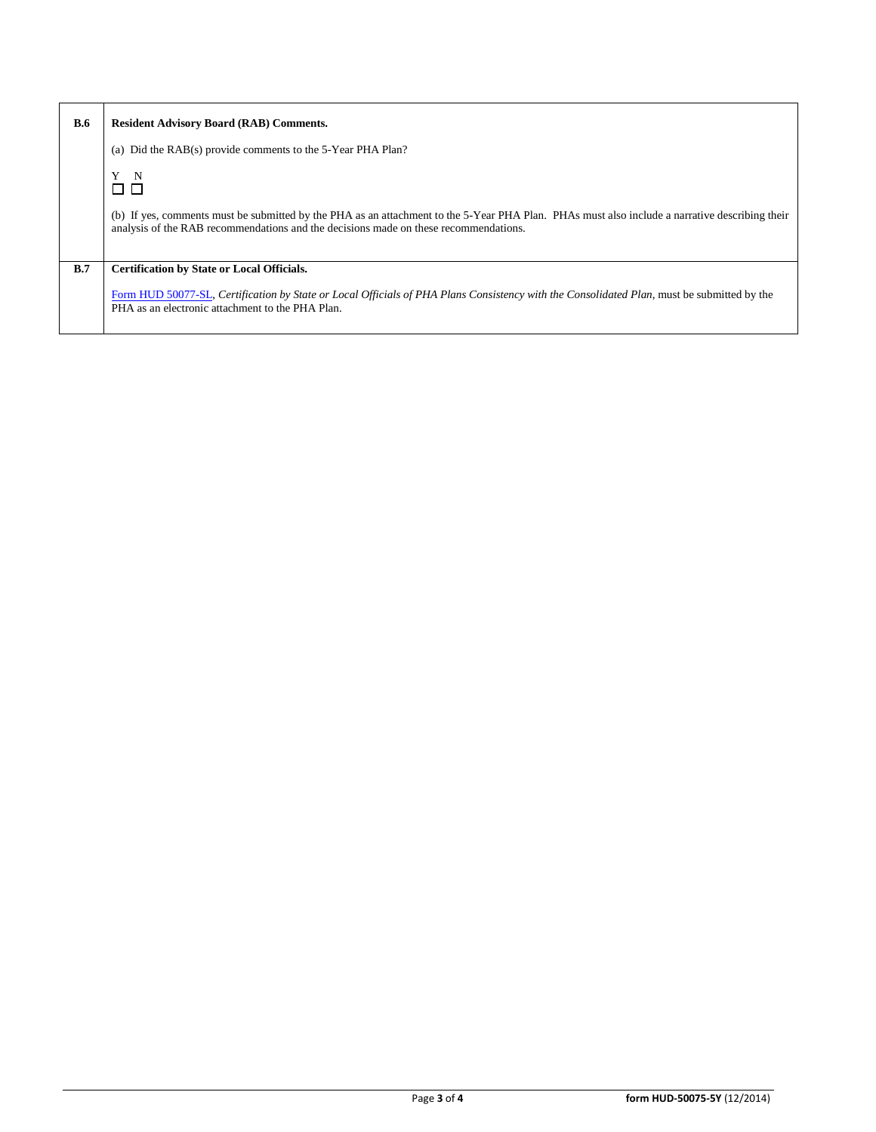| <b>B.6</b> | <b>Resident Advisory Board (RAB) Comments.</b>                                                                                                                                                                                         |
|------------|----------------------------------------------------------------------------------------------------------------------------------------------------------------------------------------------------------------------------------------|
|            | (a) Did the RAB(s) provide comments to the 5-Year PHA Plan?                                                                                                                                                                            |
|            | Y N<br>ПП                                                                                                                                                                                                                              |
|            | (b) If yes, comments must be submitted by the PHA as an attachment to the 5-Year PHA Plan. PHAs must also include a narrative describing their<br>analysis of the RAB recommendations and the decisions made on these recommendations. |
| B.7        | <b>Certification by State or Local Officials.</b>                                                                                                                                                                                      |
|            | Form HUD 50077-SL, Certification by State or Local Officials of PHA Plans Consistency with the Consolidated Plan, must be submitted by the<br>PHA as an electronic attachment to the PHA Plan.                                         |